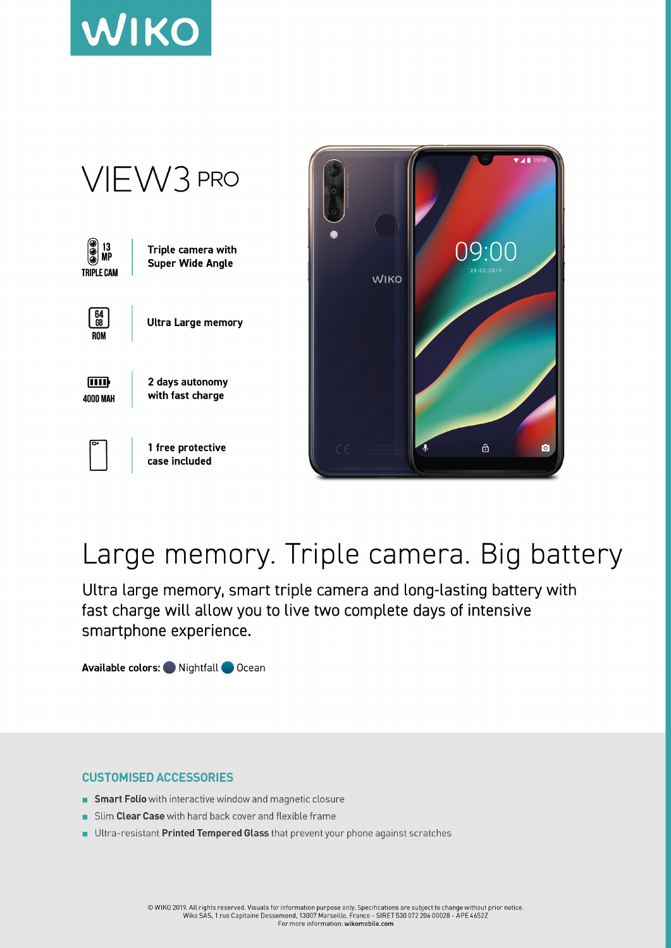



## Large memory. Triple camera. Big battery

Ultra large memory, smart triple camera and long-lasting battery with fast charge will allow you to live two complete days of intensive smartphone experience.

Available colors: Nightfall Ocean

## **CUSTOMISED ACCESSORIES**

- Smart Folio with interactive window and magnetic closure
- Slim Clear Case with hard back cover and flexible frame  $\sim$
- Ultra-resistant Printed Tempered Glass that prevent your phone against scratches